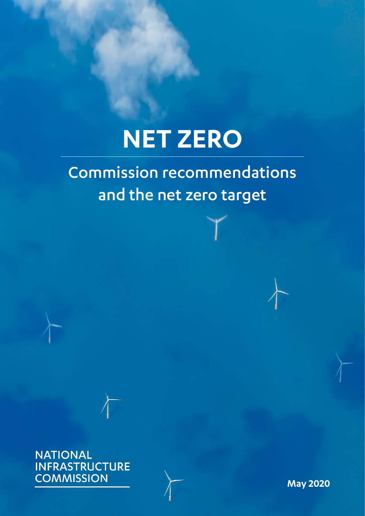# **NET ZERO**

### Commission recommendations and the net zero target

**NATIONAL INFRASTRUCTURE COMMISSION** 

**May 2020**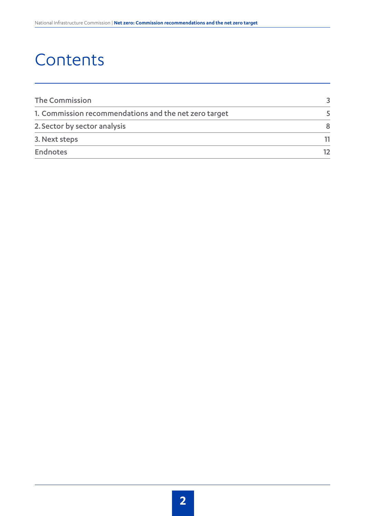### **Contents**

| The Commission                                        |    |
|-------------------------------------------------------|----|
| 1. Commission recommendations and the net zero target |    |
| 2. Sector by sector analysis                          | 8  |
| 3. Next steps                                         |    |
| <b>Endnotes</b>                                       | 12 |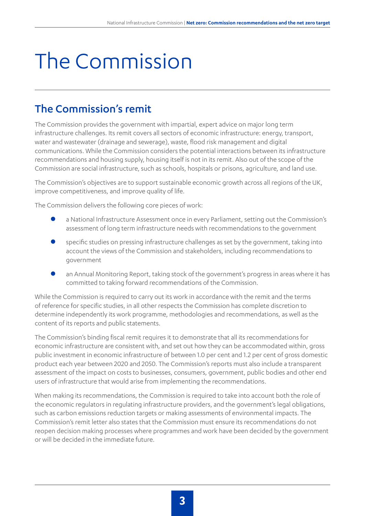# The Commission

#### The Commission's remit

The Commission provides the government with impartial, expert advice on major long term infrastructure challenges. Its remit covers all sectors of economic infrastructure: energy, transport, water and wastewater (drainage and sewerage), waste, flood risk management and digital communications. While the Commission considers the potential interactions between its infrastructure recommendations and housing supply, housing itself is not in its remit. Also out of the scope of the Commission are social infrastructure, such as schools, hospitals or prisons, agriculture, and land use.

The Commission's objectives are to support sustainable economic growth across all regions of the UK, improve competitiveness, and improve quality of life.

The Commission delivers the following core pieces of work:

- a National Infrastructure Assessment once in every Parliament, setting out the Commission's assessment of long term infrastructure needs with recommendations to the government
- specific studies on pressing infrastructure challenges as set by the government, taking into account the views of the Commission and stakeholders, including recommendations to government
- an Annual Monitoring Report, taking stock of the government's progress in areas where it has committed to taking forward recommendations of the Commission.

While the Commission is required to carry out its work in accordance with the remit and the terms of reference for specific studies, in all other respects the Commission has complete discretion to determine independently its work programme, methodologies and recommendations, as well as the content of its reports and public statements.

The Commission's binding fiscal remit requires it to demonstrate that all its recommendations for economic infrastructure are consistent with, and set out how they can be accommodated within, gross public investment in economic infrastructure of between 1.0 per cent and 1.2 per cent of gross domestic product each year between 2020 and 2050. The Commission's reports must also include a transparent assessment of the impact on costs to businesses, consumers, government, public bodies and other end users of infrastructure that would arise from implementing the recommendations.

When making its recommendations, the Commission is required to take into account both the role of the economic regulators in regulating infrastructure providers, and the government's legal obligations, such as carbon emissions reduction targets or making assessments of environmental impacts. The Commission's remit letter also states that the Commission must ensure its recommendations do not reopen decision making processes where programmes and work have been decided by the government or will be decided in the immediate future.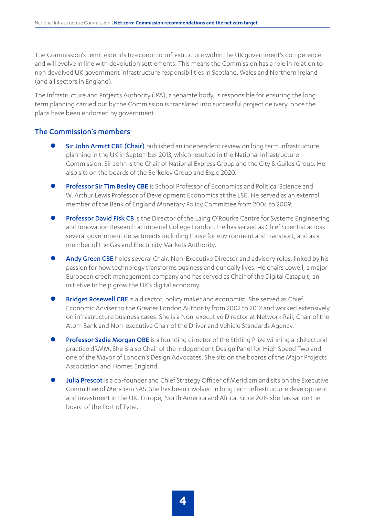The Commission's remit extends to economic infrastructure within the UK government's competence and will evolve in line with devolution settlements. This means the Commission has a role in relation to non devolved UK government infrastructure responsibilities in Scotland, Wales and Northern Ireland (and all sectors in England).

The Infrastructure and Projects Authority (IPA), a separate body, is responsible for ensuring the long term planning carried out by the Commission is translated into successful project delivery, once the plans have been endorsed by government.

#### The Commission's members

- **Sir John Armitt CBE (Chair)** published an independent review on long term infrastructure planning in the UK in September 2013, which resulted in the National Infrastructure Commission. Sir John is the Chair of National Express Group and the City & Guilds Group. He also sits on the boards of the Berkeley Group and Expo 2020.
- Professor Sir Tim Besley CBE is School Professor of Economics and Political Science and W. Arthur Lewis Professor of Development Economics at the LSE. He served as an external member of the Bank of England Monetary Policy Committee from 2006 to 2009.
- Professor David Fisk CB is the Director of the Laing O'Rourke Centre for Systems Engineering and Innovation Research at Imperial College London. He has served as Chief Scientist across several government departments including those for environment and transport, and as a member of the Gas and Electricity Markets Authority.
- Andy Green CBE holds several Chair, Non-Executive Director and advisory roles, linked by his passion for how technology transforms business and our daily lives. He chairs Lowell, a major European credit management company and has served as Chair of the Digital Catapult, an initiative to help grow the UK's digital economy.
- Bridget Rosewell CBE is a director, policy maker and economist. She served as Chief Economic Adviser to the Greater London Authority from 2002 to 2012 and worked extensively on infrastructure business cases. She is a Non-executive Director at Network Rail, Chair of the Atom Bank and Non-executive Chair of the Driver and Vehicle Standards Agency.
- **Professor Sadie Morgan OBE** is a founding director of the Stirling Prize winning architectural practice dRMM. She is also Chair of the Independent Design Panel for High Speed Two and one of the Mayor of London's Design Advocates. She sits on the boards of the Major Projects Association and Homes England.
- Julia Prescot is a co-founder and Chief Strategy Officer of Meridiam and sits on the Executive Committee of Meridiam SAS. She has been involved in long term infrastructure development and investment in the UK, Europe, North America and Africa. Since 2019 she has sat on the board of the Port of Tyne.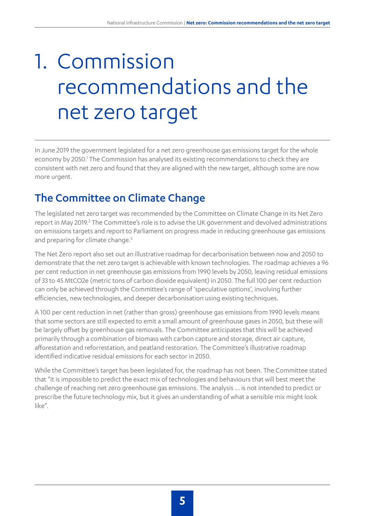## 1. Commission recommendations and the net zero target

In June 2019 the government legislated for a net zero greenhouse gas emissions target for the whole economy by 2050.<sup>1</sup> The Commission has analysed its existing recommendations to check they are consistent with net zero and found that they are aligned with the new target, although some are now more urgent.

### The Committee on Climate Change

The legislated net zero target was recommended by the Committee on Climate Change in its Net Zero report in May 2019.<sup>2</sup> The Committee's role is to advise the UK government and devolved administrations on emissions targets and report to Parliament on progress made in reducing greenhouse gas emissions and preparing for climate change.<sup>3</sup>

The Net Zero report also set out an illustrative roadmap for decarbonisation between now and 2050 to demonstrate that the net zero target is achievable with known technologies. The roadmap achieves a 96 per cent reduction in net greenhouse gas emissions from 1990 levels by 2050, leaving residual emissions of 33 to 45 MtCO2e (metric tons of carbon dioxide equivalent) in 2050. The full 100 per cent reduction can only be achieved through the Committee's range of 'speculative options', involving further efficiencies, new technologies, and deeper decarbonisation using existing techniques.

A 100 per cent reduction in net (rather than gross) greenhouse gas emissions from 1990 levels means that some sectors are still expected to emit a small amount of greenhouse gases in 2050, but these will be largely offset by greenhouse gas removals. The Committee anticipates that this will be achieved primarily through a combination of biomass with carbon capture and storage, direct air capture, afforestation and reforrestation, and peatland restoration. The Committee's illustrative roadmap identified indicative residual emissions for each sector in 2050.

While the Committee's target has been legislated for, the roadmap has not been. The Committee stated that "it is impossible to predict the exact mix of technologies and behaviours that will best meet the challenge of reaching net zero greenhouse gas emissions. The analysis … is not intended to predict or prescribe the future technology mix, but it gives an understanding of what a sensible mix might look like".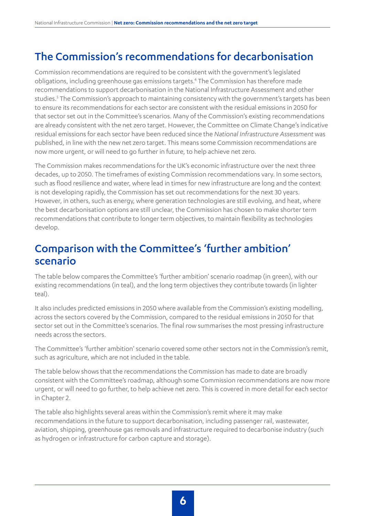#### The Commission's recommendations for decarbonisation

Commission recommendations are required to be consistent with the government's legislated obligations, including greenhouse gas emissions targets.<sup>4</sup> The Commission has therefore made recommendations to support decarbonisation in the National Infrastructure Assessment and other studies.<sup>5</sup> The Commission's approach to maintaining consistency with the government's targets has been to ensure its recommendations for each sector are consistent with the residual emissions in 2050 for that sector set out in the Committee's scenarios. Many of the Commission's existing recommendations are already consistent with the net zero target. However, the Committee on Climate Change's indicative residual emissions for each sector have been reduced since the *National Infrastructure Assessment* was published, in line with the new net zero target. This means some Commission recommendations are now more urgent, or will need to go further in future, to help achieve net zero.

The Commission makes recommendations for the UK's economic infrastructure over the next three decades, up to 2050. The timeframes of existing Commission recommendations vary. In some sectors, such as flood resilience and water, where lead in times for new infrastructure are long and the context is not developing rapidly, the Commission has set out recommendations for the next 30 years. However, in others, such as energy, where generation technologies are still evolving, and heat, where the best decarbonisation options are still unclear, the Commission has chosen to make shorter term recommendations that contribute to longer term objectives, to maintain flexibility as technologies develop.

#### Comparison with the Committee's 'further ambition' scenario

The table below compares the Committee's 'further ambition' scenario roadmap (in green), with our existing recommendations (in teal), and the long term objectives they contribute towards (in lighter teal).

It also includes predicted emissions in 2050 where available from the Commission's existing modelling, across the sectors covered by the Commission, compared to the residual emissions in 2050 for that sector set out in the Committee's scenarios. The final row summarises the most pressing infrastructure needs across the sectors.

The Committee's 'further ambition' scenario covered some other sectors not in the Commission's remit, such as agriculture, which are not included in the table.

The table below shows that the recommendations the Commission has made to date are broadly consistent with the Committee's roadmap, although some Commission recommendations are now more urgent, or will need to go further, to help achieve net zero. This is covered in more detail for each sector in Chapter 2.

The table also highlights several areas within the Commission's remit where it may make recommendations in the future to support decarbonisation, including passenger rail, wastewater, aviation, shipping, greenhouse gas removals and infrastructure required to decarbonise industry (such as hydrogen or infrastructure for carbon capture and storage).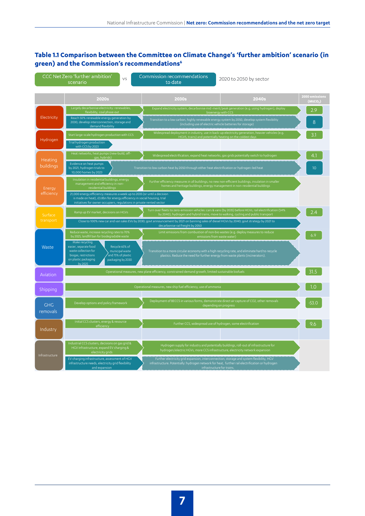#### **Table 1.1 Comparison between the Committee on Climate Change's 'further ambition' scenario (in green) and the Commission's recommendations6**

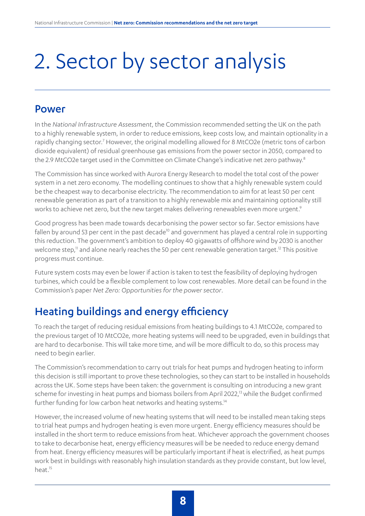## 2. Sector by sector analysis

#### Power

In the *National Infrastructure Assessment*, the Commission recommended setting the UK on the path to a highly renewable system, in order to reduce emissions, keep costs low, and maintain optionality in a rapidly changing sector.<sup>7</sup> However, the original modelling allowed for 8 MtCO2e (metric tons of carbon dioxide equivalent) of residual greenhouse gas emissions from the power sector in 2050, compared to the 2.9 MtCO2e target used in the Committee on Climate Change's indicative net zero pathway.<sup>8</sup>

The Commission has since worked with Aurora Energy Research to model the total cost of the power system in a net zero economy. The modelling continues to show that a highly renewable system could be the cheapest way to decarbonise electricity. The recommendation to aim for at least 50 per cent renewable generation as part of a transition to a highly renewable mix and maintaining optionality still works to achieve net zero, but the new target makes delivering renewables even more urgent.<sup>9</sup>

Good progress has been made towards decarbonising the power sector so far. Sector emissions have fallen by around 53 per cent in the past decade<sup>10</sup> and government has played a central role in supporting this reduction. The government's ambition to deploy 40 gigawatts of offshore wind by 2030 is another welcome step,<sup>11</sup> and alone nearly reaches the 50 per cent renewable generation target.<sup>12</sup> This positive progress must continue.

Future system costs may even be lower if action is taken to test the feasibility of deploying hydrogen turbines, which could be a flexible complement to low cost renewables. More detail can be found in the Commission's paper *Net Zero: Opportunities for the power sector*.

### Heating buildings and energy efficiency

To reach the target of reducing residual emissions from heating buildings to 4.1 MtCO2e, compared to the previous target of 10 MtCO2e, more heating systems will need to be upgraded, even in buildings that are hard to decarbonise. This will take more time, and will be more difficult to do, so this process may need to begin earlier.

The Commission's recommendation to carry out trials for heat pumps and hydrogen heating to inform this decision is still important to prove these technologies, so they can start to be installed in households across the UK. Some steps have been taken: the government is consulting on introducing a new grant scheme for investing in heat pumps and biomass boilers from April 2022,<sup>13</sup> while the Budget confirmed further funding for low carbon heat networks and heating systems.<sup>14</sup>

However, the increased volume of new heating systems that will need to be installed mean taking steps to trial heat pumps and hydrogen heating is even more urgent. Energy efficiency measures should be installed in the short term to reduce emissions from heat. Whichever approach the government chooses to take to decarbonise heat, energy efficiency measures will be be needed to reduce energy demand from heat. Energy efficiency measures will be particularly important if heat is electrified, as heat pumps work best in buildings with reasonably high insulation standards as they provide constant, but low level, heat.<sup>15</sup>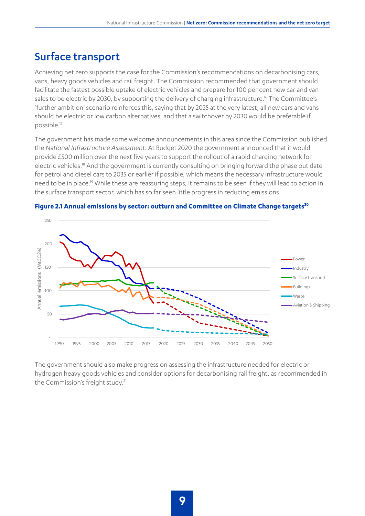#### Surface transport

Achieving net zero supports the case for the Commission's recommendations on decarbonising cars, vans, heavy goods vehicles and rail freight. The Commission recommended that government should facilitate the fastest possible uptake of electric vehicles and prepare for 100 per cent new car and van sales to be electric by 2030, by supporting the delivery of charging infrastructure.<sup>16</sup> The Committee's 'further ambition' scenario reinforces this, saying that by 2035 at the very latest, all new cars and vans should be electric or low carbon alternatives, and that a switchover by 2030 would be preferable if possible.17

The government has made some welcome announcements in this area since the Commission published the *National Infrastructure Assessment*. At Budget 2020 the government announced that it would provide £500 million over the next five years to support the rollout of a rapid charging network for electric vehicles.<sup>18</sup> And the government is currently consulting on bringing forward the phase out date for petrol and diesel cars to 2035 or earlier if possible, which means the necessary infrastructure would need to be in place.<sup>19</sup> While these are reassuring steps, it remains to be seen if they will lead to action in the surface transport sector, which has so far seen little progress in reducing emissions.





The government should also make progress on assessing the infrastructure needed for electric or hydrogen heavy goods vehicles and consider options for decarbonising rail freight, as recommended in the Commission's freight study.<sup>21</sup>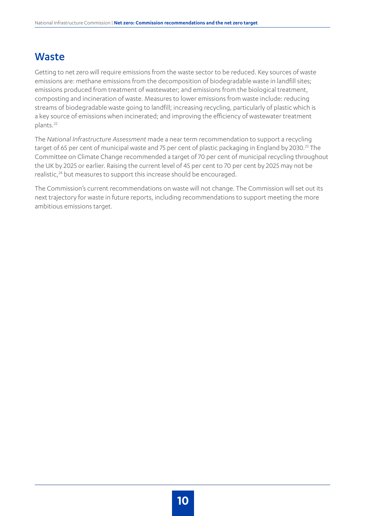#### Waste

Getting to net zero will require emissions from the waste sector to be reduced. Key sources of waste emissions are: methane emissions from the decomposition of biodegradable waste in landfill sites; emissions produced from treatment of wastewater; and emissions from the biological treatment, composting and incineration of waste. Measures to lower emissions from waste include: reducing streams of biodegradable waste going to landfill; increasing recycling, particularly of plastic which is a key source of emissions when incinerated; and improving the efficiency of wastewater treatment plants.22

The *National Infrastructure Assessment* made a near term recommendation to support a recycling target of 65 per cent of municipal waste and 75 per cent of plastic packaging in England by 2030.<sup>23</sup> The Committee on Climate Change recommended a target of 70 per cent of municipal recycling throughout the UK by 2025 or earlier. Raising the current level of 45 per cent to 70 per cent by 2025 may not be realistic,<sup>24</sup> but measures to support this increase should be encouraged.

The Commission's current recommendations on waste will not change. The Commission will set out its next trajectory for waste in future reports, including recommendations to support meeting the more ambitious emissions target.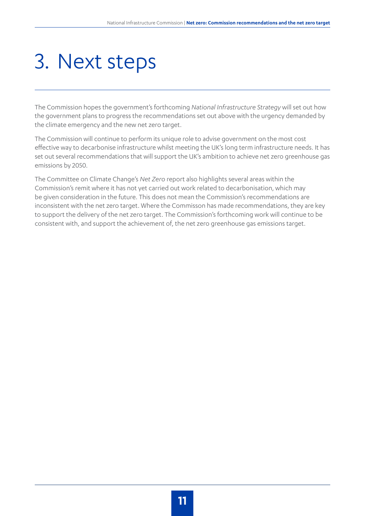### 3. Next steps

The Commission hopes the government's forthcoming *National Infrastructure Strategy* will set out how the government plans to progress the recommendations set out above with the urgency demanded by the climate emergency and the new net zero target.

The Commission will continue to perform its unique role to advise government on the most cost effective way to decarbonise infrastructure whilst meeting the UK's long term infrastructure needs. It has set out several recommendations that will support the UK's ambition to achieve net zero greenhouse gas emissions by 2050.

The Committee on Climate Change's *Net Zero* report also highlights several areas within the Commission's remit where it has not yet carried out work related to decarbonisation, which may be given consideration in the future. This does not mean the Commission's recommendations are inconsistent with the net zero target. Where the Commisson has made recommendations, they are key to support the delivery of the net zero target. The Commission's forthcoming work will continue to be consistent with, and support the achievement of, the net zero greenhouse gas emissions target.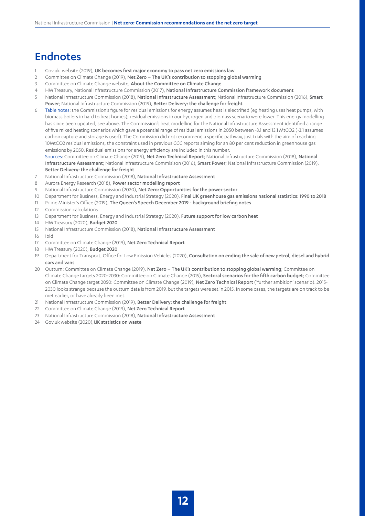#### Endnotes

- 1 Gov.uk website (2019), [UK becomes first major economy to pass net zero emissions law](https://www.gov.uk/government/news/uk-becomes-first-major-economy-to-pass-net-zero-emissions-law)
- 2 Committee on Climate Change (2019), Net Zero The UK's contribution to stopping global warming
- 3 Committee on Climate Change website, [About the Committee on Climate Change](https://www.theccc.org.uk/about/)
- 4 HM Treasury, National Infrastructure Commission (2017), [National Infrastructure Commission framework document](https://assets.publishing.service.gov.uk/government/uploads/system/uploads/attachment_data/file/585374/NIC_framework_document_web.pdf)
- 5 National Infrastructure Commission (2018), [National Infrastructure Assessment](https://www.nic.org.uk/assessment/national-infrastructure-assessment/); National Infrastructure Commission (2016), [Smart](https://www.nic.org.uk/publications/smart-power/)  [Power](https://www.nic.org.uk/publications/smart-power/); National Infrastructure Commission (2019), [Better Delivery: the challenge for freight](https://www.nic.org.uk/publications/better-delivery-the-challenge-for-freight/)
- 6 Table notes: the Commission's figure for residual emissions for energy assumes heat is electrified (eg heating uses heat pumps, with biomass boilers in hard to heat homes); residual emissions in our hydrogen and biomass scenario were lower. This energy modelling has since been updated, see above. The Commission's heat modelling for the National Infrastructure Assessment identified a range of five mixed heating scenarios which gave a potential range of residual emissions in 2050 between -3.1 and 13.1 MtCO2 (-3.1 assumes carbon capture and storage is used). The Commission did not recommend a specific pathway, just trials with the aim of reaching 10MtCO2 residual emissions, the constraint used in previous CCC reports aiming for an 80 per cent reduction in greenhouse gas emissions by 2050. Residual emissions for energy efficiency are included in this number.

Sources: Committee on Climate Change (2019), [Net Zero Technical Report](https://www.theccc.org.uk/publication/net-zero-technical-report/); National Infrastructure Commission (2018), [National](https://www.nic.org.uk/assessment/national-infrastructure-assessment/)  [Infrastructure Assessment](https://www.nic.org.uk/assessment/national-infrastructure-assessment/); National Infrastructure Commisison (2016), [Smart Power](https://www.nic.org.uk/publications/smart-power/); National Infrastructure Commission (2019), [Better Delivery: the challenge for freight](https://www.nic.org.uk/publications/better-delivery-the-challenge-for-freight/)

- 7 National Infrastructure Commission (2018), [National Infrastructure Assessment](https://www.nic.org.uk/assessment/national-infrastructure-assessment/)
- 8 Aurora Energy Research (2018), [Power sector modelling report](https://www.nic.org.uk/supporting-documents/aurora-energy-research-july-2018-power-sector-modelling-system-cost-impact-of-renewables/)
- 9 National Infrastructure Commission (2020), [Net Zero: Opportunities for the power sector](https://www.nic.org.uk/publications/net-zero-opportunities-for-the-power-sector/)
- 10 Department for Business, Energy and Industrial Strategy (2020), [Final UK greenhouse gas emissions national statistics: 1990 to 2018](https://www.gov.uk/government/statistics/final-uk-greenhouse-gas-emissions-national-statistics-1990-to-2018)
- 11 Prime Minister's Office (2019), [The Queen's Speech December 2019 background briefing notes](https://assets.publishing.service.gov.uk/government/uploads/system/uploads/attachment_data/file/853886/Queen_s_Speech_December_2019_-_background_briefing_notes.pdf)
- 12 Commission calculations
- 13 Department for Business, Energy and Industrial Strategy (2020), [Future support for low carbon heat](https://www.gov.uk/government/consultations/future-support-for-low-carbon-heat)
- 14 HM Treasury (2020), **[Budget 2020](https://www.gov.uk/government/topical-events/budget-2020)**
- 15 National Infrastructure Commission (2018), [National Infrastructure Assessment](https://www.nic.org.uk/assessment/national-infrastructure-assessment/)
- 16 Ibid
- 17 Committee on Climate Change (2019), [Net Zero Technical Report](https://www.theccc.org.uk/publication/net-zero-technical-report/)
- 18 HM Treasury (2020), [Budget 2020](https://www.gov.uk/government/topical-events/budget-2020)
- 19 Department for Transport, Office for Low Emission Vehicles (2020), Consultation on ending the sale of new petrol, diesel and hybrid [cars and vans](https://www.gov.uk/government/consultations/consulting-on-ending-the-sale-of-new-petrol-diesel-and-hybrid-cars-and-vans)
- 20 Outturn: Committee on Climate Change (2019), [Net Zero The UK's contribution to stopping global warming](https://www.theccc.org.uk/publication/net-zero-the-uks-contribution-to-stopping-global-warming/); Committee on Climate Change targets 2020-2030: Committee on Climate Change (2015), [Sectoral scenarios for the fifth carbon budget](https://www.theccc.org.uk/wp-content/uploads/2015/11/Sectoral-scenarios-for-the-fifth-carbon-budget-Committee-on-Climate-Change.pdf); Committee on Climate Change target 2050: Committee on Climate Change (2019), [Net Zero Technical Report](https://www.theccc.org.uk/publication/net-zero-technical-report/) ('further ambition' scenario). 2015- 2030 looks strange because the outturn data is from 2019, but the targets were set in 2015. In some cases, the targets are on track to be met earlier, or have already been met.
- 21 National Infrastructure Commission (2019), [Better Delivery: the challenge for freight](https://www.nic.org.uk/publications/better-delivery-the-challenge-for-freight/)
- 22 Committee on Climate Change (2019), [Net Zero Technical Report](https://www.theccc.org.uk/publication/net-zero-technical-report/)
- 23 National Infrastructure Commission (2018), [National Infrastructure Assessment](https://www.nic.org.uk/assessment/national-infrastructure-assessment/)
- 24 Gov.uk website (2020), [UK statistics on waste](https://www.gov.uk/government/statistics/uk-waste-data)